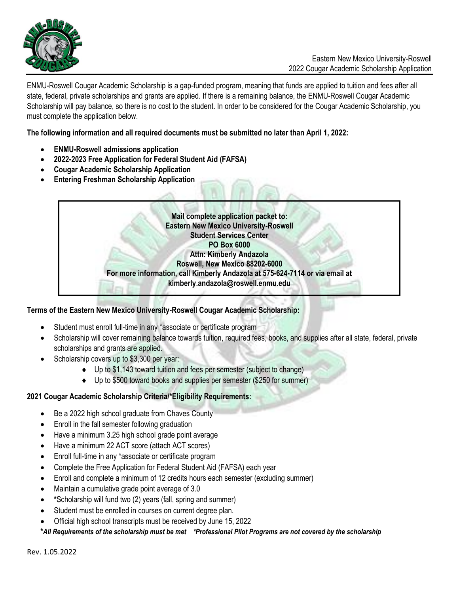

ENMU-Roswell Cougar Academic Scholarship is a gap-funded program, meaning that funds are applied to tuition and fees after all state, federal, private scholarships and grants are applied. If there is a remaining balance, the ENMU-Roswell Cougar Academic Scholarship will pay balance, so there is no cost to the student. In order to be considered for the Cougar Academic Scholarship, you must complete the application below.

**The following information and all required documents must be submitted no later than April 1, 2022:**

- **ENMU-Roswell admissions application**
- **2022-2023 Free Application for Federal Student Aid (FAFSA)**
- **Cougar Academic Scholarship Application**
- **Entering Freshman Scholarship Application**



## **Terms of the Eastern New Mexico University-Roswell Cougar Academic Scholarship:**

- Student must enroll full-time in any \*associate or certificate program
- Scholarship will cover remaining balance towards tuition, required fees, books, and supplies after all state, federal, private scholarships and grants are applied.
- Scholarship covers up to \$3,300 per year:
	- ◆ Up to \$1,143 toward tuition and fees per semester (subject to change)
	- Up to \$500 toward books and supplies per semester (\$250 for summer)

## **2021 Cougar Academic Scholarship Criteria/\*Eligibility Requirements:**

- Be a 2022 high school graduate from Chaves County
- Enroll in the fall semester following graduation
- Have a minimum 3.25 high school grade point average
- Have a minimum 22 ACT score (attach ACT scores)
- Enroll full-time in any \*associate or certificate program
- Complete the Free Application for Federal Student Aid (FAFSA) each year
- Enroll and complete a minimum of 12 credits hours each semester (excluding summer)
- Maintain a cumulative grade point average of 3.0
- **\***Scholarship will fund two (2) years (fall, spring and summer)
- Student must be enrolled in courses on current degree plan.
- Official high school transcripts must be received by June 15, 2022

**\****All Requirements of the scholarship must be met \*Professional Pilot Programs are not covered by the scholarship*